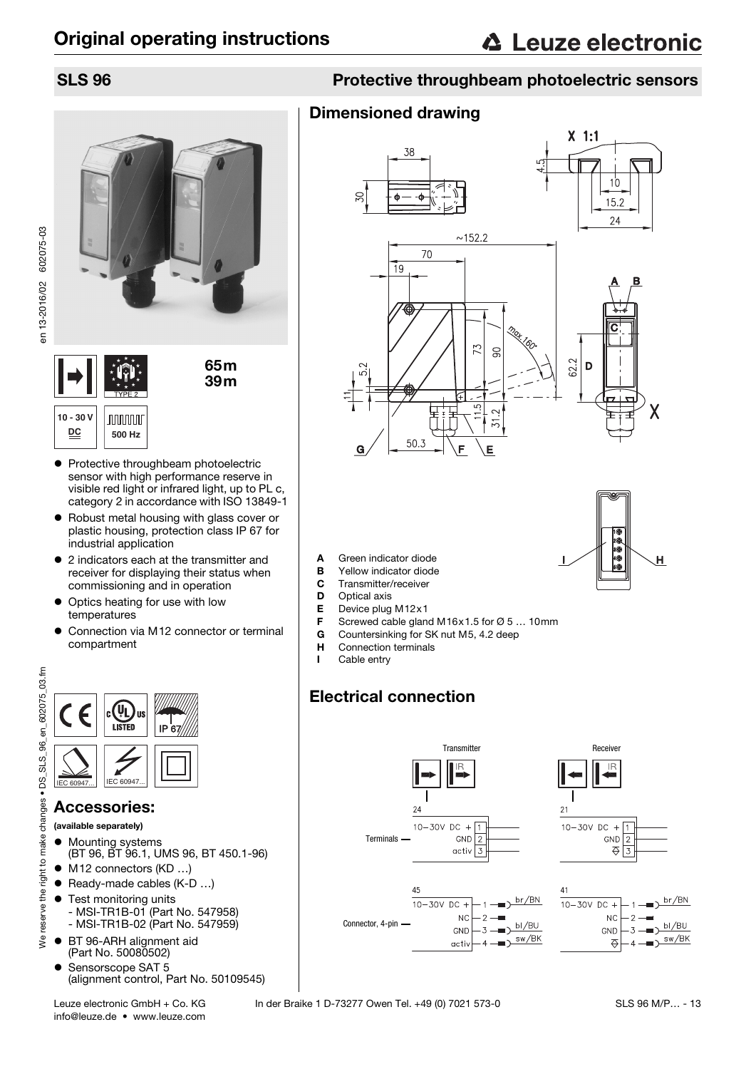





- Protective throughbeam photoelectric sensor with high performance reserve in visible red light or infrared light, up to PL c, category 2 in accordance with ISO 13849-1
- Robust metal housing with glass cover or plastic housing, protection class IP 67 for industrial application
- 2 indicators each at the transmitter and receiver for displaying their status when commissioning and in operation
- Optics heating for use with low temperatures
- Connection via M12 connector or terminal compartment

IP 67



- (available separately)
- Mounting systems (BT 96, BT 96.1, UMS 96, BT 450.1-96)
- M12 connectors (KD ...)
- Ready-made cables (K-D ...)
- **•** Test monitoring units - MSI-TR1B-01 (Part No. 547958) - MSI-TR1B-02 (Part No. 547959)
- BT 96-ARH alignment aid
- (Part No. 50080502)
- Sensorscope SAT 5 (alignment control, Part No. 50109545)
- info@leuze.de www.leuze.com

## SLS 96 Protective throughbeam photoelectric sensors

## Dimensioned drawing





- A Green indicator diode
- **B** Yellow indicator diode
- **C** Transmitter/receiver<br>**D** Optical axis
- Optical axis
- E Device plug M12x1
- F Screwed cable gland M16x1.5 for  $\varnothing$  5 ... 10mm<br>G Countersinking for SK nut M5.4.2 deep
- Countersinking for SK nut M5, 4.2 deep
- H Connection terminals
- I Cable entry

## Electrical connection

<span id="page-0-0"></span>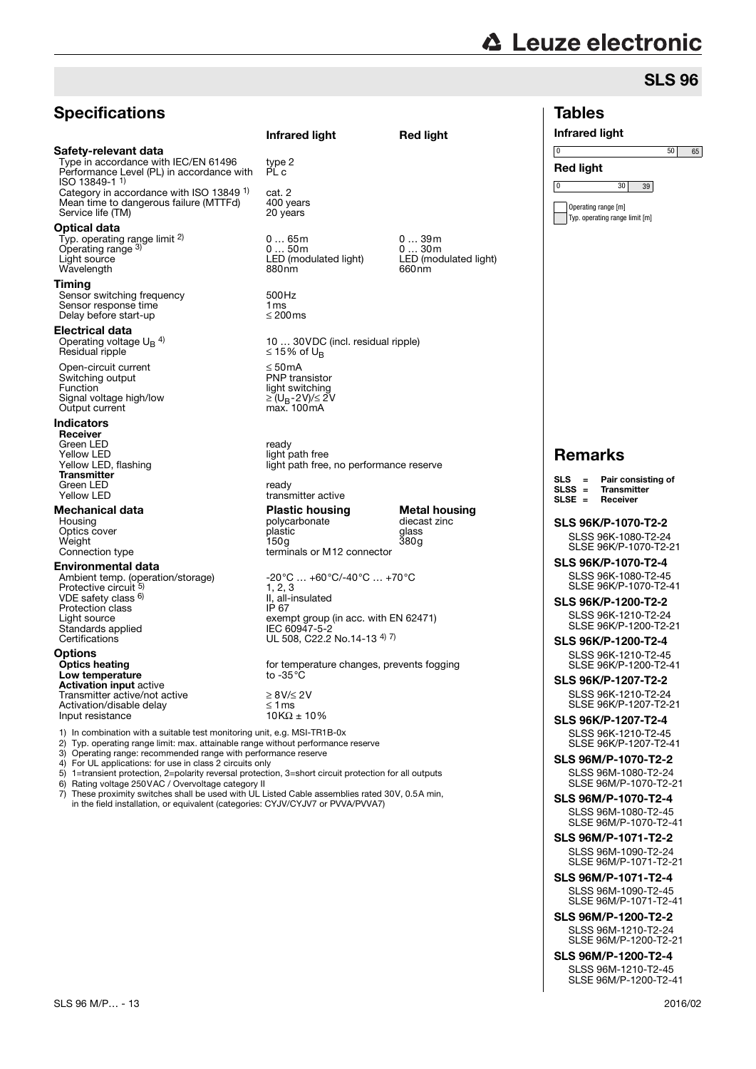## **Specifications**

### Safety-relevant data

Type in accordance with IEC/EN 61496 Performance Level (PL) in accordance with ISO 13849-1 1) Category in accordance with ISO 13849 <sup>1)</sup> cat. 2<br>Mean time to dangerous failure (MTTFd) 400 years Mean time to dangerous failure (MTTFd) 400 years<br>Service life (TM) 20 years Service life (TM)

### Optical data

Typ. operating range limit 2) Operating range<sup>3)</sup><br>Light source

### Timing

Sensor switching frequency 500Hz<br>
Sensor response time 1 ms<br>
Delay before start-up  $\leq$  200ms Sensor response time Delay before start-up

### Electrical data

Operating voltage  $U_B$  <sup>4)</sup> Residual ripple

Open-circuit current ≤ 50mA<br>Switching output The Switching output The Switching output Switching output<br>Function Signal voltage high/low  $\geq (U_B-2V)/\leq 2$ <br>Output current max. 100 mA Output current

### Indicators

Receiver Green LED<br>Yellow LED ready ready Yellow LED<br>
Yellow LED. flashing<br>
Yellow LED. flashing<br>
Yellow LED. flashing **Transmitter** Green LED ready

### Environmental data

VDE safety class 6) Protection class<br>Light source Standards applied IEC 60947-5-2 Certifications UL 508, C22.2 No.14-13 4) 7)

### **Options<br>Optics heating** Low temperature Activation input active Transmitter active/not active<br>Activation/disable delay<br>Input resistance 10KΩ ± 10% Activation/disable delay Input resistance

type 2<br>PL c Typ. operating range limit <sup>2)</sup> 0 … 65m 0 … 39m<br>Operating range <sup>3)</sup> 0 … 50m 0 … 30m<br>Light source LED (modulated light) LED (modulated light) Wavelength 880nm 880nm 660nm 10 ... 30 VDC (incl. residual ripple)<br> $\leq$  15% of U<sub>B</sub> light switching<br> $\geq$  (U<sub>B</sub>-2V)/ $\leq$  2V light path free, no performance reserve transmitter active **Mechanical data Plastic housing Metal housing**<br>
Housing **Housing**<br>
Housing **Plastic housing**<br> **Plastic housing**<br> **Plastic housing** Polycarbonate dieca<br>
polycarbonate dieca<br>
plastic glass Optics cover **plastic** glass plastic glass glass<br>Weight 150g 380g Weight 150g 380g Connection type terminals or M12 connector Ambient temp. (operation/storage) -20°C … +60°C/-40°C … +70°C<br>Protective circuit <sup>5)</sup> 1, 2, 3 1, 2, 3 II, all-insulated<br>IP 67 Light source exempt group (in acc. with EN 62471)<br>Standards applied exempt JEC 60947-5-2

Infrared light Red light

for temperature changes, prevents fogging to -35  $^{\circ}$ C

1) In combination with a suitable test monitoring unit, e.g. MSI-TR1B-0x<br>2) Typ. operating range limit: max. attainable range without performance

2) Typ. operating range limit: max. attainable range without performance reserve<br>3) Operating range: recommended range with performance reserve

3) Operating range: recommended range with performance reserve

4) For UL applications: for use in class 2 circuits only

5) 1=transient protection, 2=polarity reversal protection, 3=short circuit protection for all outputs 6) Rating voltage 250VAC / Overvoltage category ll Rating voltage 250VAC / Overvoltage category II

These proximity switches shall be used with UL Listed Cable assemblies rated 30V, 0.5A min, in the field installation, or equivalent (categories: CYJV/CYJV7 or PVVA/PVVA7)

# **△ Leuze electronic**

## SLS 96

## Tables Infrared light Red light 0 50 65 0 30 39 Operating range [m] Typ. operating range limit [m] Remarks **SLS 96K/P-1070-T2-2** SLSS 96K-1080-T2-24 SLSE 96K/P-1070-T2-21 **SLS 96K/P-1070-T2-4** SLSS 96K-1080-T2-45 SLSE 96K/P-1070-T2-41 **SLS 96K/P-1200-T2-2** SLSS 96K-1210-T2-24 SLSE 96K/P-1200-T2-21 **SLS 96K/P-1200-T2-4** SLSS 96K-1210-T2-45 SLSE 96K/P-1200-T2-41 **SLS 96K/P-1207-T2-2** SLSS 96K-1210-T2-24 SLSE 96K/P-1207-T2-21 **SLS 96K/P-1207-T2-4** SLSS 96K-1210-T2-45 SLSE 96K/P-1207-T2-41 SLS 96M/P-1070-T2-2 SLSS 96M-1080-T2-24 SLSE 96M/P-1070-T2-21 SLS 96M/P-1070-T2-4 SLSS 96M-1080-T2-45 SLSE 96M/P-1070-T2-41 SLS 96M/P-1071-T2-2 SLSS 96M-1090-T2-24 SLSE 96M/P-1071-T2-21 SLS 96M/P-1071-T2-4 SLSS 96M-1090-T2-45 SLSE 96M/P-1071-T2-41 SLS 96M/P-1200-T2-2 SLSS 96M-1210-T2-24 SLSE 96M/P-1200-T2-21 SLS = Pair consisting of  $SLSS =$  Transmitter<br>SLSE = Receiver **Beceiver**

SLS 96M/P-1200-T2-4 SLSS 96M-1210-T2-45 SLSE 96M/P-1200-T2-41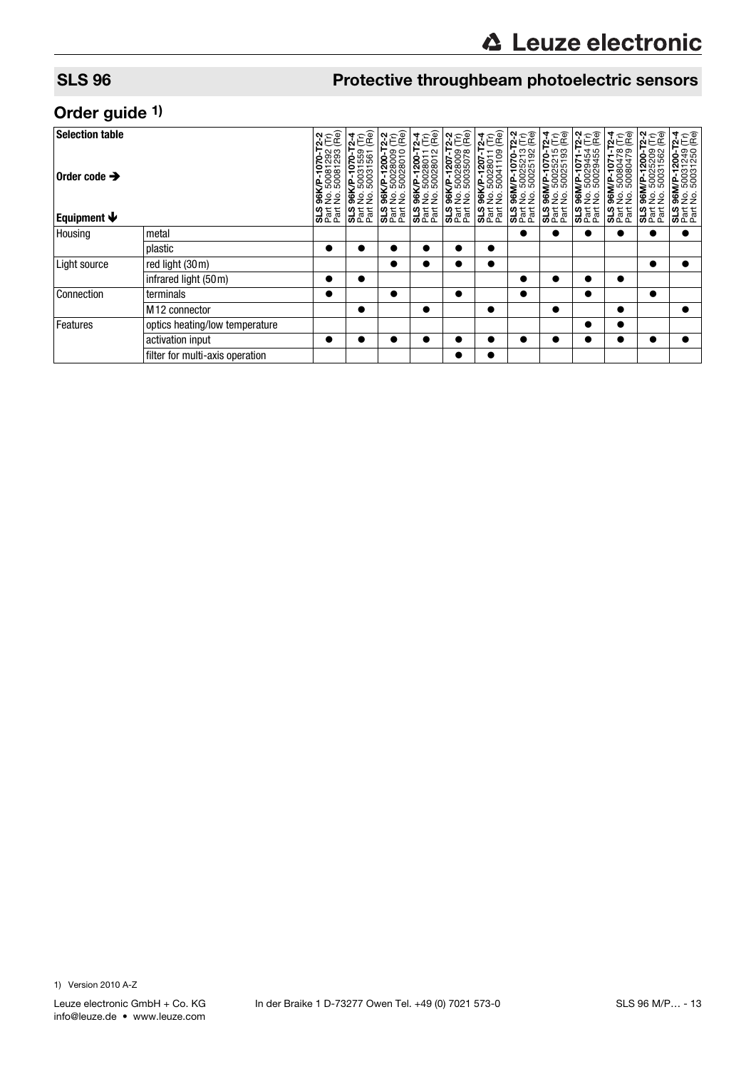## SLS 96 **Protective throughbeam photoelectric sensors**

## Order guide 1)

| <b>Selection table</b><br>Order code $\rightarrow$<br>Equipment $\blacklozenge$ |                                 | VP-1070-T2-2<br>50081292 (Tr)<br>50081293 (Re) | 170-T2-4<br>1559 (Tr)<br>1561 (Re)<br>50031<br>0 | : 96K/P-1200-T2-2<br>: No. 50028009 (Tr)<br>: No. 50028010 (Re) | i 96K/P-1200-T2-4<br>: No. 50028011 (Tr)<br>: No. 50028012 (Re) | 86K/P-1207-T2-2<br>No. 50028009 (Tr)<br>No. 50035078 (Re) | 86K/P-1207-T2-4<br>No. 50028011 (Tr)<br>No. 50041109 (Re) | .96M/P-1070-T2-2<br>No. 50025213 (Tr)<br>No. 50025192 (Re) | 86M/P-1070-T2-4<br>: No. 50025215 (Tr)<br>: No. 50025193 (Re) | AP-1071-T2-2<br>50029454 (Tr)<br>50029455 (Re)           | 96M/P-1071-T2-4<br>No. 50080478 (Tr)<br>No. 50080479 (Re) | 1200-T2-2<br>25209 (Tr)<br>31562 (Re)                       | $-72-4$<br>$-9-6$<br>$-9-6$<br>96M/P-1200-T;<br>No. 50031249<br>No. 50031250 ( |
|---------------------------------------------------------------------------------|---------------------------------|------------------------------------------------|--------------------------------------------------|-----------------------------------------------------------------|-----------------------------------------------------------------|-----------------------------------------------------------|-----------------------------------------------------------|------------------------------------------------------------|---------------------------------------------------------------|----------------------------------------------------------|-----------------------------------------------------------|-------------------------------------------------------------|--------------------------------------------------------------------------------|
|                                                                                 |                                 | gg<br>క్టె<br><b>SL</b><br>Pat                 | 96K/P<br>gġ<br>SLS<br>Part<br>Part               | 3 <sub>eta</sub>                                                | <b>35 AM</b><br>825                                             | <b>SL</b> att<br>Part                                     | SLS<br>Part<br>Part                                       | $32$ at Eq.                                                | 3 <sub>ext</sub> <sup>2</sup>                                 | <b>96M/P</b><br>No. 500<br>No. 500<br>SL5<br>Part<br>SL5 | <b>SL</b> eat                                             | 96M/P-12<br>No. 5002<br>No. 5003<br>sis<br>3 <sub>eta</sub> | .<br>22<br>$3z$ at                                                             |
| Housing                                                                         | metal                           |                                                |                                                  |                                                                 |                                                                 |                                                           |                                                           | ●                                                          | D                                                             |                                                          | ●                                                         |                                                             |                                                                                |
|                                                                                 | plastic                         | $\bullet$                                      |                                                  |                                                                 |                                                                 |                                                           | $\bullet$                                                 |                                                            |                                                               |                                                          |                                                           |                                                             |                                                                                |
| Light source                                                                    | red light (30m)                 |                                                |                                                  |                                                                 |                                                                 |                                                           | $\bullet$                                                 |                                                            |                                                               |                                                          |                                                           |                                                             |                                                                                |
|                                                                                 | infrared light (50m)            |                                                | $\bullet$                                        |                                                                 |                                                                 |                                                           |                                                           | ●                                                          |                                                               | ●                                                        | $\bullet$                                                 |                                                             |                                                                                |
| Connection                                                                      | terminals                       | $\bullet$                                      |                                                  |                                                                 |                                                                 | $\bullet$                                                 |                                                           | $\bullet$                                                  |                                                               | $\bullet$                                                |                                                           |                                                             |                                                                                |
|                                                                                 | M <sub>12</sub> connector       |                                                | $\bullet$                                        |                                                                 |                                                                 |                                                           | $\bullet$                                                 |                                                            | $\bullet$                                                     |                                                          | $\bullet$                                                 |                                                             | $\bullet$                                                                      |
| Features                                                                        | optics heating/low temperature  |                                                |                                                  |                                                                 |                                                                 |                                                           |                                                           |                                                            |                                                               |                                                          | $\bullet$                                                 |                                                             |                                                                                |
|                                                                                 | activation input                | $\bullet$                                      |                                                  |                                                                 |                                                                 |                                                           |                                                           |                                                            |                                                               |                                                          |                                                           |                                                             |                                                                                |
|                                                                                 | filter for multi-axis operation |                                                |                                                  |                                                                 |                                                                 |                                                           |                                                           |                                                            |                                                               |                                                          |                                                           |                                                             |                                                                                |

1) Version 2010 A-Z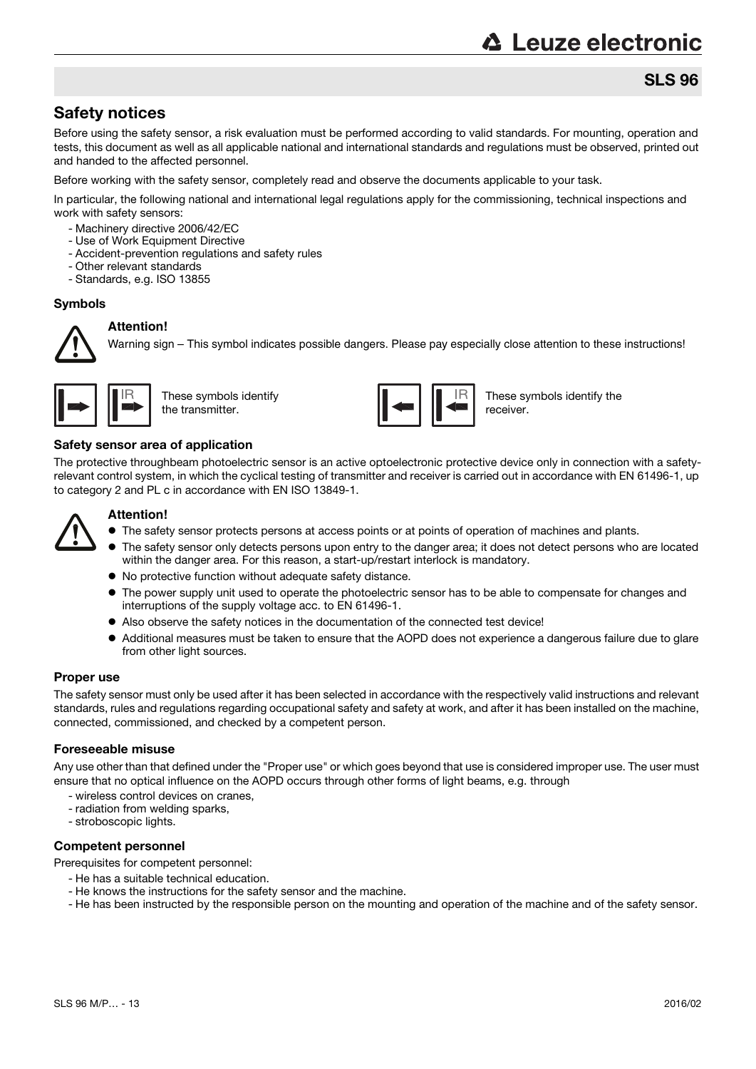# **△ Leuze electronic**

## SLS 96

## Safety notices

Before using the safety sensor, a risk evaluation must be performed according to valid standards. For mounting, operation and tests, this document as well as all applicable national and international standards and regulations must be observed, printed out and handed to the affected personnel.

Before working with the safety sensor, completely read and observe the documents applicable to your task.

In particular, the following national and international legal regulations apply for the commissioning, technical inspections and work with safety sensors:

- Machinery directive 2006/42/EC
- Use of Work Equipment Directive
- Accident-prevention regulations and safety rules
- Other relevant standards
- Standards, e.g. ISO 13855

### Symbols



**Attention!**

Warning sign – This symbol indicates possible dangers. Please pay especially close attention to these instructions!



These symbols identify the transmitter.



These symbols identify the receiver.

### Safety sensor area of application

The protective throughbeam photoelectric sensor is an active optoelectronic protective device only in connection with a safetyrelevant control system, in which the cyclical testing of transmitter and receiver is carried out in accordance with EN 61496-1, up to category 2 and PL c in accordance with EN ISO 13849-1.



### **Attention!**

- $\bullet$  The safety sensor protects persons at access points or at points of operation of machines and plants.
- The safety sensor only detects persons upon entry to the danger area; it does not detect persons who are located within the danger area. For this reason, a start-up/restart interlock is mandatory.
- No protective function without adequate safety distance.
- The power supply unit used to operate the photoelectric sensor has to be able to compensate for changes and interruptions of the supply voltage acc. to EN 61496-1.
- Also observe the safety notices in the documentation of the connected test device!
- Additional measures must be taken to ensure that the AOPD does not experience a dangerous failure due to glare from other light sources.

### Proper use

The safety sensor must only be used after it has been selected in accordance with the respectively valid instructions and relevant standards, rules and regulations regarding occupational safety and safety at work, and after it has been installed on the machine, connected, commissioned, and checked by a competent person.

### Foreseeable misuse

Any use other than that defined under the "Proper use" or which goes beyond that use is considered improper use. The user must ensure that no optical influence on the AOPD occurs through other forms of light beams, e.g. through

- wireless control devices on cranes,
- radiation from welding sparks,
- stroboscopic lights.

### Competent personnel

Prerequisites for competent personnel:

- He has a suitable technical education.
- He knows the instructions for the safety sensor and the machine.
- He has been instructed by the responsible person on the mounting and operation of the machine and of the safety sensor.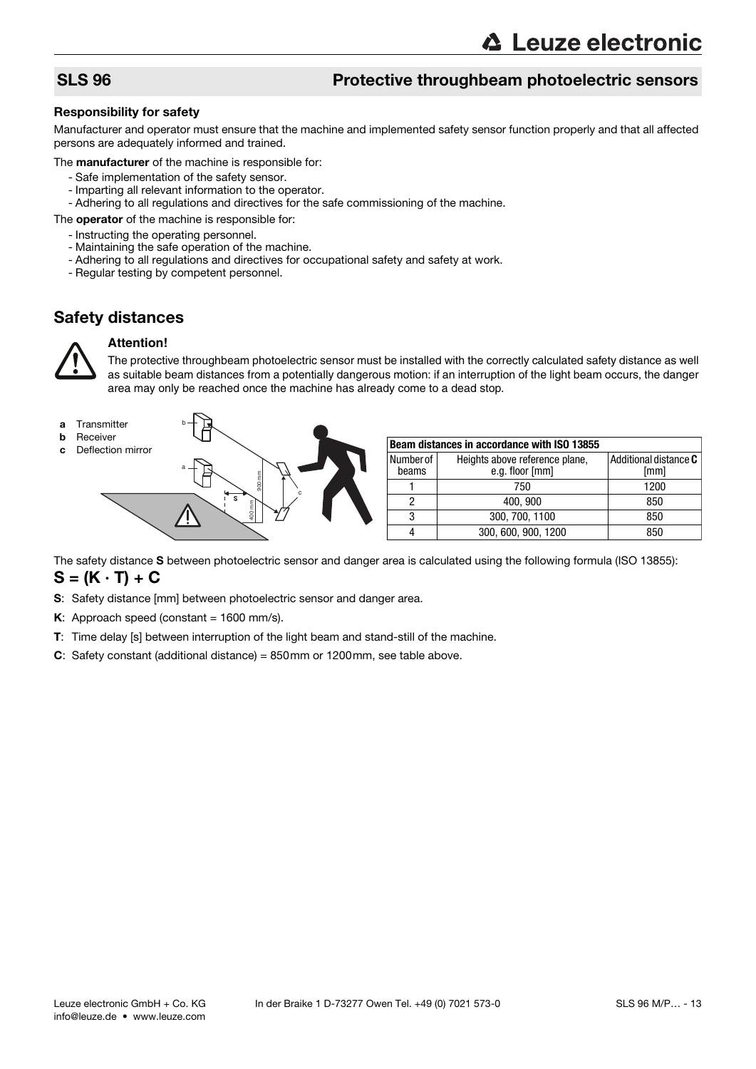## SLS 96 Protective throughbeam photoelectric sensors

### Responsibility for safety

Manufacturer and operator must ensure that the machine and implemented safety sensor function properly and that all affected persons are adequately informed and trained.

The **manufacturer** of the machine is responsible for:

- Safe implementation of the safety sensor.
- Imparting all relevant information to the operator.
- Adhering to all regulations and directives for the safe commissioning of the machine.
- The **operator** of the machine is responsible for:
	- Instructing the operating personnel.
	- Maintaining the safe operation of the machine.
	- Adhering to all regulations and directives for occupational safety and safety at work.
	- Regular testing by competent personnel.

## Safety distances



### **Attention!**

The protective throughbeam photoelectric sensor must be installed with the correctly calculated safety distance as well as suitable beam distances from a potentially dangerous motion: if an interruption of the light beam occurs, the danger area may only be reached once the machine has already come to a dead stop.



The safety distance S between photoelectric sensor and danger area is calculated using the following formula (ISO 13855):  $S = (K \cdot T) + C$ 

- S: Safety distance [mm] between photoelectric sensor and danger area.
- K: Approach speed (constant =  $1600$  mm/s).
- T: Time delay [s] between interruption of the light beam and stand-still of the machine.
- C: Safety constant (additional distance) = 850mm or 1200mm, see table above.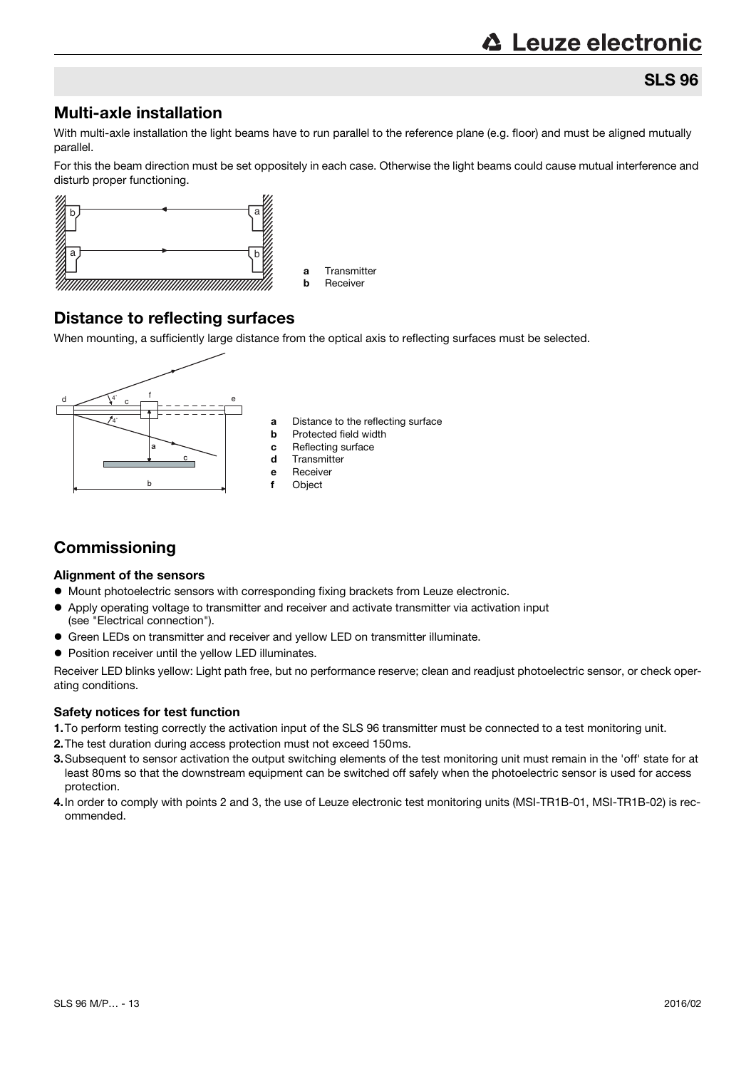## SLS 96

## Multi-axle installation

With multi-axle installation the light beams have to run parallel to the reference plane (e.g. floor) and must be aligned mutually parallel.

For this the beam direction must be set oppositely in each case. Otherwise the light beams could cause mutual interference and disturb proper functioning.



## Distance to reflecting surfaces

When mounting, a sufficiently large distance from the optical axis to reflecting surfaces must be selected.



## **Commissioning**

### Alignment of the sensors

- $\bullet$  Mount photoelectric sensors with corresponding fixing brackets from Leuze electronic.
- Apply operating voltage to transmitter and receiver and activate transmitter via activation input (see "Electrical connection").
- Green LEDs on transmitter and receiver and yellow LED on transmitter illuminate.
- Position receiver until the yellow LED illuminates.

Receiver LED blinks yellow: Light path free, but no performance reserve; clean and readjust photoelectric sensor, or check operating conditions.

### Safety notices for test function

- 1.To perform testing correctly the activation input of the SLS 96 transmitter must be connected to a test monitoring unit.
- 2.The test duration during access protection must not exceed 150ms.
- 3.Subsequent to sensor activation the output switching elements of the test monitoring unit must remain in the 'off' state for at least 80ms so that the downstream equipment can be switched off safely when the photoelectric sensor is used for access protection.
- 4.In order to comply with points 2 and 3, the use of Leuze electronic test monitoring units (MSI-TR1B-01, MSI-TR1B-02) is recommended.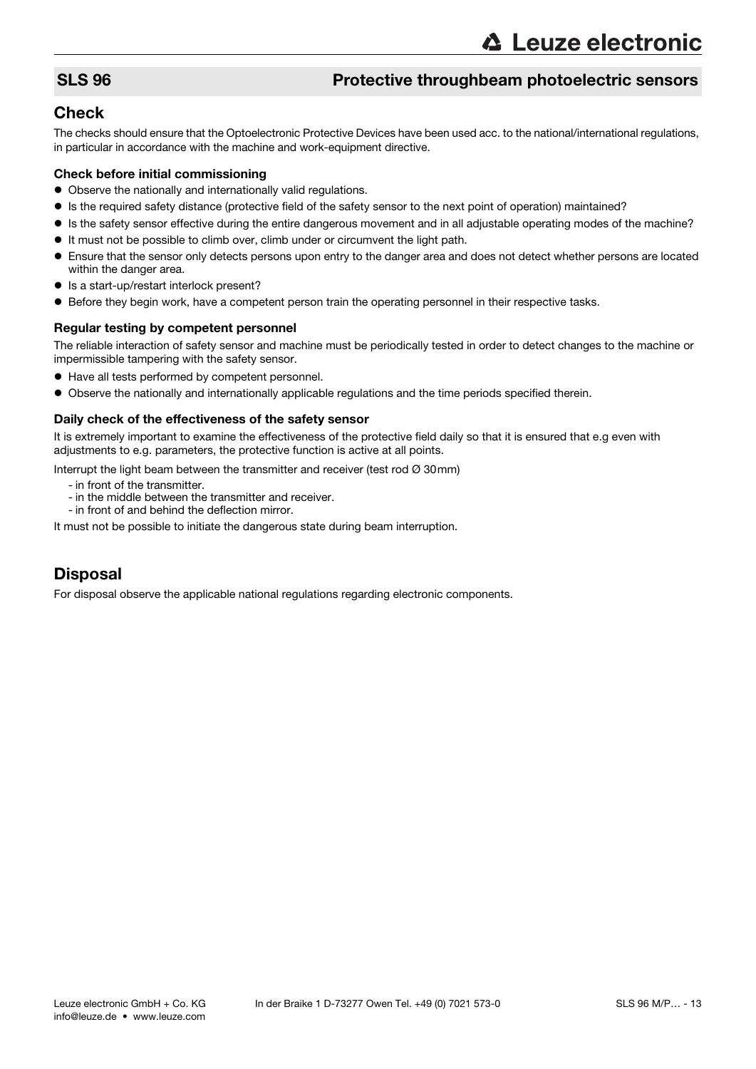## SLS 96 Protective throughbeam photoelectric sensors

## **Check**

The checks should ensure that the Optoelectronic Protective Devices have been used acc. to the national/international regulations, in particular in accordance with the machine and work-equipment directive.

### Check before initial commissioning

- Observe the nationally and internationally valid regulations.
- Is the required safety distance (protective field of the safety sensor to the next point of operation) maintained?
- Is the safety sensor effective during the entire dangerous movement and in all adjustable operating modes of the machine?
- It must not be possible to climb over, climb under or circumvent the light path.
- Ensure that the sensor only detects persons upon entry to the danger area and does not detect whether persons are located within the danger area.
- Is a start-up/restart interlock present?
- Before they begin work, have a competent person train the operating personnel in their respective tasks.

### Regular testing by competent personnel

The reliable interaction of safety sensor and machine must be periodically tested in order to detect changes to the machine or impermissible tampering with the safety sensor.

- Have all tests performed by competent personnel.
- Observe the nationally and internationally applicable regulations and the time periods specified therein.

### Daily check of the effectiveness of the safety sensor

It is extremely important to examine the effectiveness of the protective field daily so that it is ensured that e.g even with adjustments to e.g. parameters, the protective function is active at all points.

Interrupt the light beam between the transmitter and receiver (test rod  $\varnothing$  30mm)

- in front of the transmitter.
- in the middle between the transmitter and receiver.
- in front of and behind the deflection mirror.

It must not be possible to initiate the dangerous state during beam interruption.

## Disposal

For disposal observe the applicable national regulations regarding electronic components.